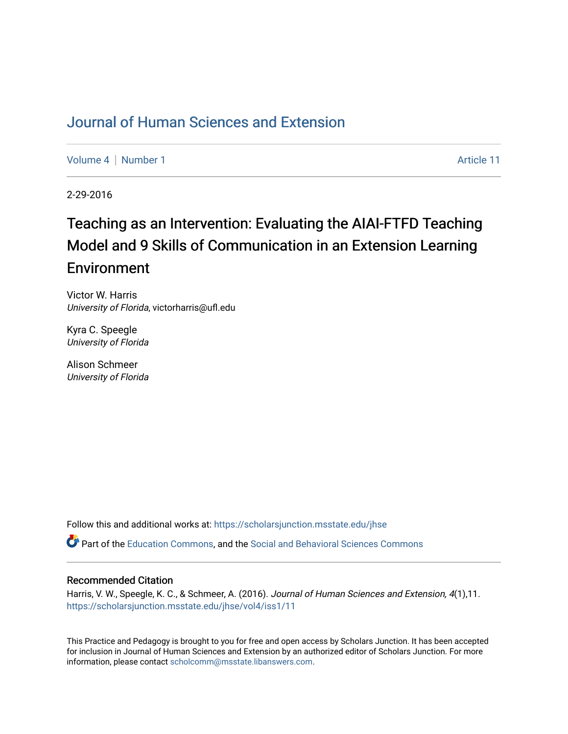# [Journal of Human Sciences and Extension](https://scholarsjunction.msstate.edu/jhse)

[Volume 4](https://scholarsjunction.msstate.edu/jhse/vol4) | [Number 1](https://scholarsjunction.msstate.edu/jhse/vol4/iss1) Article 11

2-29-2016

# Teaching as an Intervention: Evaluating the AIAI-FTFD Teaching Model and 9 Skills of Communication in an Extension Learning **Environment**

Victor W. Harris University of Florida, victorharris@ufl.edu

Kyra C. Speegle University of Florida

Alison Schmeer University of Florida

Follow this and additional works at: [https://scholarsjunction.msstate.edu/jhse](https://scholarsjunction.msstate.edu/jhse?utm_source=scholarsjunction.msstate.edu%2Fjhse%2Fvol4%2Fiss1%2F11&utm_medium=PDF&utm_campaign=PDFCoverPages)

Part of the [Education Commons](http://network.bepress.com/hgg/discipline/784?utm_source=scholarsjunction.msstate.edu%2Fjhse%2Fvol4%2Fiss1%2F11&utm_medium=PDF&utm_campaign=PDFCoverPages), and the [Social and Behavioral Sciences Commons](http://network.bepress.com/hgg/discipline/316?utm_source=scholarsjunction.msstate.edu%2Fjhse%2Fvol4%2Fiss1%2F11&utm_medium=PDF&utm_campaign=PDFCoverPages) 

#### Recommended Citation

Harris, V. W., Speegle, K. C., & Schmeer, A. (2016). Journal of Human Sciences and Extension, 4(1),11. [https://scholarsjunction.msstate.edu/jhse/vol4/iss1/11](https://scholarsjunction.msstate.edu/jhse/vol4/iss1/11?utm_source=scholarsjunction.msstate.edu%2Fjhse%2Fvol4%2Fiss1%2F11&utm_medium=PDF&utm_campaign=PDFCoverPages) 

This Practice and Pedagogy is brought to you for free and open access by Scholars Junction. It has been accepted for inclusion in Journal of Human Sciences and Extension by an authorized editor of Scholars Junction. For more information, please contact [scholcomm@msstate.libanswers.com](mailto:scholcomm@msstate.libanswers.com).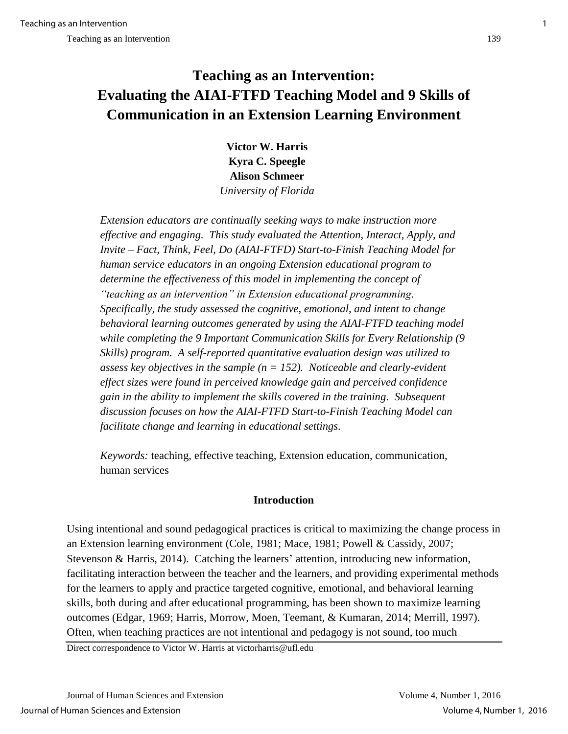# **Teaching as an Intervention: Evaluating the AIAI-FTFD Teaching Model and 9 Skills of Communication in an Extension Learning Environment**

**Victor W. Harris Kyra C. Speegle Alison Schmeer**  *University of Florida* 

*Extension educators are continually seeking ways to make instruction more effective and engaging. This study evaluated the Attention, Interact, Apply, and Invite – Fact, Think, Feel, Do (AIAI-FTFD) Start-to-Finish Teaching Model for human service educators in an ongoing Extension educational program to determine the effectiveness of this model in implementing the concept of "teaching as an intervention" in Extension educational programming. Specifically, the study assessed the cognitive, emotional, and intent to change behavioral learning outcomes generated by using the AIAI-FTFD teaching model while completing the 9 Important Communication Skills for Every Relationship (9 Skills) program. A self-reported quantitative evaluation design was utilized to assess key objectives in the sample (n = 152). Noticeable and clearly-evident effect sizes were found in perceived knowledge gain and perceived confidence gain in the ability to implement the skills covered in the training. Subsequent discussion focuses on how the AIAI-FTFD Start-to-Finish Teaching Model can facilitate change and learning in educational settings.* 

*Keywords:* teaching, effective teaching, Extension education, communication, human services

# **Introduction**

Using intentional and sound pedagogical practices is critical to maximizing the change process in an Extension learning environment (Cole, 1981; Mace, 1981; Powell & Cassidy, 2007; Stevenson & Harris, 2014). Catching the learners' attention, introducing new information, facilitating interaction between the teacher and the learners, and providing experimental methods for the learners to apply and practice targeted cognitive, emotional, and behavioral learning skills, both during and after educational programming, has been shown to maximize learning outcomes (Edgar, 1969; Harris, Morrow, Moen, Teemant, & Kumaran, 2014; Merrill, 1997). Often, when teaching practices are not intentional and pedagogy is not sound, too much

Direct correspondence to Victor W. Harris at victorharris@ufl.edu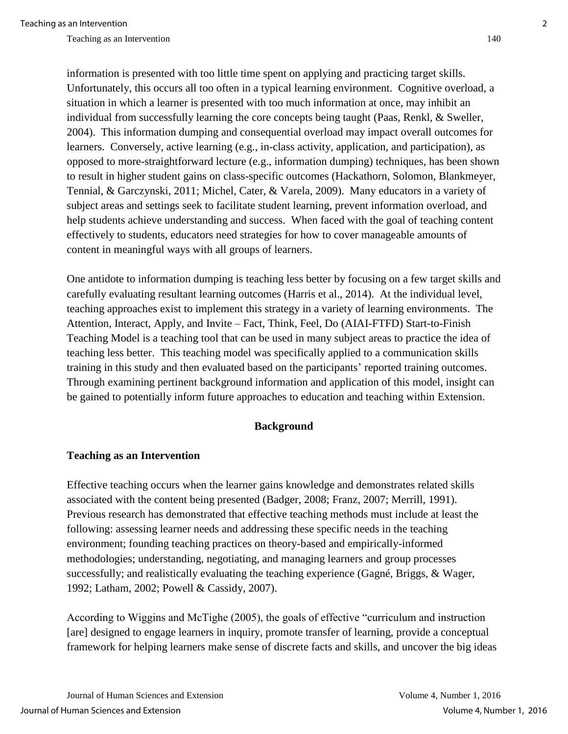information is presented with too little time spent on applying and practicing target skills. Unfortunately, this occurs all too often in a typical learning environment. Cognitive overload, a situation in which a learner is presented with too much information at once, may inhibit an individual from successfully learning the core concepts being taught (Paas, Renkl, & Sweller, 2004). This information dumping and consequential overload may impact overall outcomes for learners. Conversely, active learning (e.g., in-class activity, application, and participation), as opposed to more-straightforward lecture (e.g., information dumping) techniques, has been shown to result in higher student gains on class-specific outcomes (Hackathorn, Solomon, Blankmeyer, Tennial, & Garczynski, 2011; Michel, Cater, & Varela, 2009). Many educators in a variety of subject areas and settings seek to facilitate student learning, prevent information overload, and help students achieve understanding and success. When faced with the goal of teaching content effectively to students, educators need strategies for how to cover manageable amounts of content in meaningful ways with all groups of learners.

One antidote to information dumping is teaching less better by focusing on a few target skills and carefully evaluating resultant learning outcomes (Harris et al., 2014). At the individual level, teaching approaches exist to implement this strategy in a variety of learning environments. The Attention, Interact, Apply, and Invite – Fact, Think, Feel, Do (AIAI-FTFD) Start-to-Finish Teaching Model is a teaching tool that can be used in many subject areas to practice the idea of teaching less better. This teaching model was specifically applied to a communication skills training in this study and then evaluated based on the participants' reported training outcomes. Through examining pertinent background information and application of this model, insight can be gained to potentially inform future approaches to education and teaching within Extension.

## **Background**

## **Teaching as an Intervention**

Effective teaching occurs when the learner gains knowledge and demonstrates related skills associated with the content being presented (Badger, 2008; Franz, 2007; Merrill, 1991). Previous research has demonstrated that effective teaching methods must include at least the following: assessing learner needs and addressing these specific needs in the teaching environment; founding teaching practices on theory-based and empirically-informed methodologies; understanding, negotiating, and managing learners and group processes successfully; and realistically evaluating the teaching experience (Gagné, Briggs, & Wager, 1992; Latham, 2002; Powell & Cassidy, 2007).

According to Wiggins and McTighe (2005), the goals of effective "curriculum and instruction [are] designed to engage learners in inquiry, promote transfer of learning, provide a conceptual framework for helping learners make sense of discrete facts and skills, and uncover the big ideas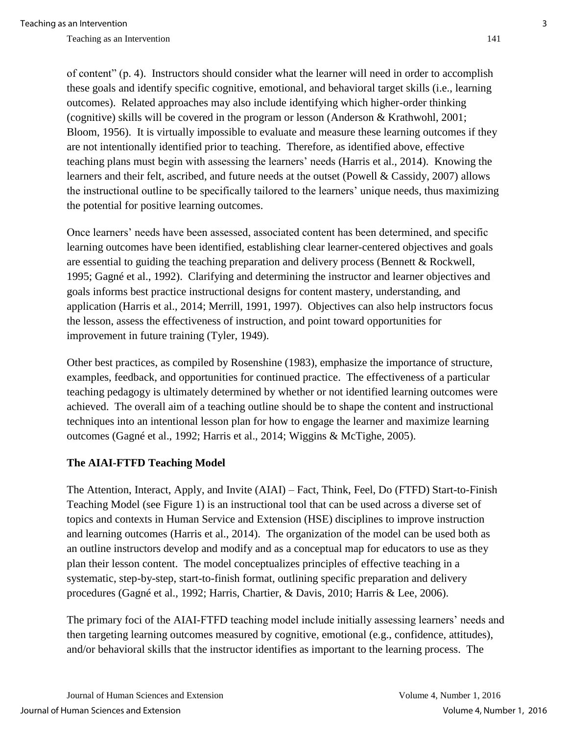of content" (p. 4). Instructors should consider what the learner will need in order to accomplish these goals and identify specific cognitive, emotional, and behavioral target skills (i.e., learning outcomes). Related approaches may also include identifying which higher-order thinking (cognitive) skills will be covered in the program or lesson (Anderson & Krathwohl, 2001; Bloom, 1956). It is virtually impossible to evaluate and measure these learning outcomes if they are not intentionally identified prior to teaching. Therefore, as identified above, effective teaching plans must begin with assessing the learners' needs (Harris et al., 2014). Knowing the learners and their felt, ascribed, and future needs at the outset (Powell & Cassidy, 2007) allows the instructional outline to be specifically tailored to the learners' unique needs, thus maximizing the potential for positive learning outcomes.

Once learners' needs have been assessed, associated content has been determined, and specific learning outcomes have been identified, establishing clear learner-centered objectives and goals are essential to guiding the teaching preparation and delivery process (Bennett & Rockwell, 1995; Gagné et al., 1992). Clarifying and determining the instructor and learner objectives and goals informs best practice instructional designs for content mastery, understanding, and application (Harris et al., 2014; Merrill, 1991, 1997). Objectives can also help instructors focus the lesson, assess the effectiveness of instruction, and point toward opportunities for improvement in future training (Tyler, 1949).

Other best practices, as compiled by Rosenshine (1983), emphasize the importance of structure, examples, feedback, and opportunities for continued practice. The effectiveness of a particular teaching pedagogy is ultimately determined by whether or not identified learning outcomes were achieved. The overall aim of a teaching outline should be to shape the content and instructional techniques into an intentional lesson plan for how to engage the learner and maximize learning outcomes (Gagné et al., 1992; Harris et al., 2014; Wiggins & McTighe, 2005).

## **The AIAI-FTFD Teaching Model**

The Attention, Interact, Apply, and Invite (AIAI) – Fact, Think, Feel, Do (FTFD) Start-to-Finish Teaching Model (see Figure 1) is an instructional tool that can be used across a diverse set of topics and contexts in Human Service and Extension (HSE) disciplines to improve instruction and learning outcomes (Harris et al., 2014). The organization of the model can be used both as an outline instructors develop and modify and as a conceptual map for educators to use as they plan their lesson content. The model conceptualizes principles of effective teaching in a systematic, step-by-step, start-to-finish format, outlining specific preparation and delivery procedures (Gagné et al., 1992; Harris, Chartier, & Davis, 2010; Harris & Lee, 2006).

The primary foci of the AIAI-FTFD teaching model include initially assessing learners' needs and then targeting learning outcomes measured by cognitive, emotional (e.g., confidence, attitudes), and/or behavioral skills that the instructor identifies as important to the learning process. The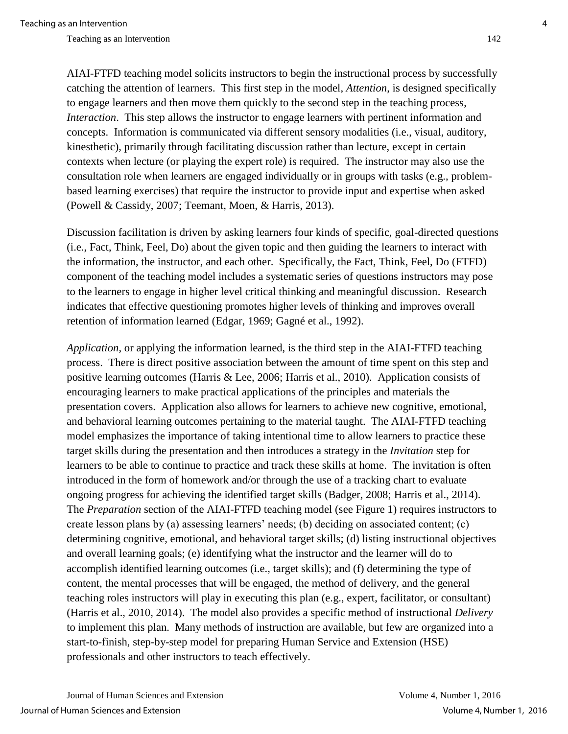AIAI-FTFD teaching model solicits instructors to begin the instructional process by successfully catching the attention of learners. This first step in the model, *Attention*, is designed specifically to engage learners and then move them quickly to the second step in the teaching process, *Interaction*. This step allows the instructor to engage learners with pertinent information and concepts. Information is communicated via different sensory modalities (i.e., visual, auditory, kinesthetic), primarily through facilitating discussion rather than lecture, except in certain contexts when lecture (or playing the expert role) is required. The instructor may also use the consultation role when learners are engaged individually or in groups with tasks (e.g., problembased learning exercises) that require the instructor to provide input and expertise when asked (Powell & Cassidy, 2007; Teemant, Moen, & Harris, 2013).

Discussion facilitation is driven by asking learners four kinds of specific, goal-directed questions (i.e., Fact, Think, Feel, Do) about the given topic and then guiding the learners to interact with the information, the instructor, and each other. Specifically, the Fact, Think, Feel, Do (FTFD) component of the teaching model includes a systematic series of questions instructors may pose to the learners to engage in higher level critical thinking and meaningful discussion. Research indicates that effective questioning promotes higher levels of thinking and improves overall retention of information learned (Edgar, 1969; Gagné et al., 1992).

*Application*, or applying the information learned, is the third step in the AIAI-FTFD teaching process. There is direct positive association between the amount of time spent on this step and positive learning outcomes (Harris & Lee, 2006; Harris et al., 2010). Application consists of encouraging learners to make practical applications of the principles and materials the presentation covers. Application also allows for learners to achieve new cognitive, emotional, and behavioral learning outcomes pertaining to the material taught. The AIAI-FTFD teaching model emphasizes the importance of taking intentional time to allow learners to practice these target skills during the presentation and then introduces a strategy in the *Invitation* step for learners to be able to continue to practice and track these skills at home. The invitation is often introduced in the form of homework and/or through the use of a tracking chart to evaluate ongoing progress for achieving the identified target skills (Badger, 2008; Harris et al., 2014). The *Preparation* section of the AIAI-FTFD teaching model (see Figure 1) requires instructors to create lesson plans by (a) assessing learners' needs; (b) deciding on associated content; (c) determining cognitive, emotional, and behavioral target skills; (d) listing instructional objectives and overall learning goals; (e) identifying what the instructor and the learner will do to accomplish identified learning outcomes (i.e., target skills); and (f) determining the type of content, the mental processes that will be engaged, the method of delivery, and the general teaching roles instructors will play in executing this plan (e.g., expert, facilitator, or consultant) (Harris et al., 2010, 2014). The model also provides a specific method of instructional *Delivery*  to implement this plan. Many methods of instruction are available, but few are organized into a start-to-finish, step-by-step model for preparing Human Service and Extension (HSE) professionals and other instructors to teach effectively.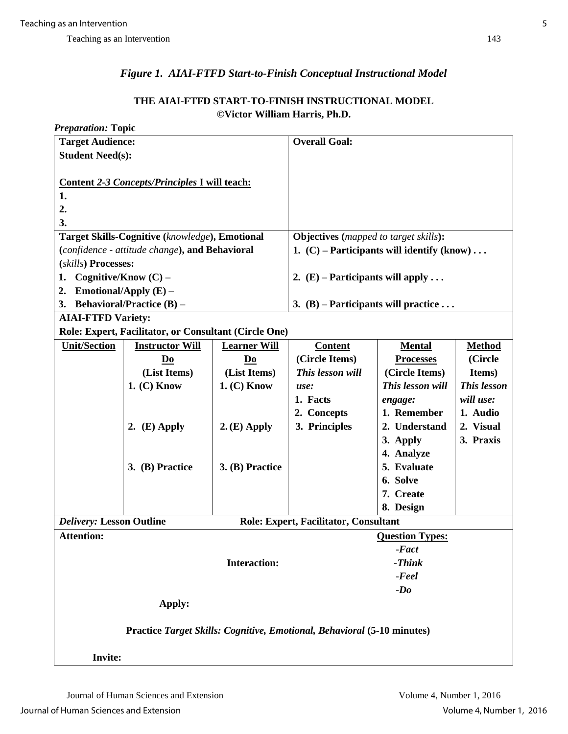# *Figure 1. AIAI-FTFD Start-to-Finish Conceptual Instructional Model*

## **THE AIAI-FTFD START-TO-FINISH INSTRUCTIONAL MODEL ©Victor William Harris, Ph.D.**

| <b>Preparation: Topic</b>                                               |                                                       |                     |                                              |                                              |               |  |  |  |  |
|-------------------------------------------------------------------------|-------------------------------------------------------|---------------------|----------------------------------------------|----------------------------------------------|---------------|--|--|--|--|
| <b>Target Audience:</b>                                                 |                                                       |                     | <b>Overall Goal:</b>                         |                                              |               |  |  |  |  |
| <b>Student Need(s):</b>                                                 |                                                       |                     |                                              |                                              |               |  |  |  |  |
|                                                                         |                                                       |                     |                                              |                                              |               |  |  |  |  |
|                                                                         | Content 2-3 Concepts/Principles I will teach:         |                     |                                              |                                              |               |  |  |  |  |
| 1.                                                                      |                                                       |                     |                                              |                                              |               |  |  |  |  |
| 2.                                                                      |                                                       |                     |                                              |                                              |               |  |  |  |  |
| 3.                                                                      |                                                       |                     |                                              |                                              |               |  |  |  |  |
|                                                                         | Target Skills-Cognitive (knowledge), Emotional        |                     |                                              | <b>Objectives</b> (mapped to target skills): |               |  |  |  |  |
| (confidence - attitude change), and Behavioral                          |                                                       |                     | 1. $(C)$ – Participants will identify (know) |                                              |               |  |  |  |  |
| (skills) Processes:                                                     |                                                       |                     |                                              |                                              |               |  |  |  |  |
| Cognitive/Know $(C)$ –<br>1.                                            |                                                       |                     | 2. $(E)$ – Participants will apply           |                                              |               |  |  |  |  |
| 2.                                                                      | Emotional/Apply $(E)$ –                               |                     |                                              |                                              |               |  |  |  |  |
| 3.                                                                      | <b>Behavioral/Practice (B) –</b>                      |                     | 3. (B) – Participants will practice          |                                              |               |  |  |  |  |
| <b>AIAI-FTFD Variety:</b>                                               |                                                       |                     |                                              |                                              |               |  |  |  |  |
|                                                                         | Role: Expert, Facilitator, or Consultant (Circle One) |                     |                                              |                                              |               |  |  |  |  |
| <b>Unit/Section</b>                                                     | <b>Instructor Will</b>                                | <b>Learner Will</b> | <b>Content</b>                               | <b>Mental</b>                                | <b>Method</b> |  |  |  |  |
|                                                                         | Do                                                    | Do                  | (Circle Items)                               | <b>Processes</b>                             | (Circle       |  |  |  |  |
|                                                                         | (List Items)                                          | (List Items)        | This lesson will                             | (Circle Items)                               | Items)        |  |  |  |  |
|                                                                         | $1.$ (C) Know                                         | $1. (C)$ Know       | use:                                         | This lesson will                             | This lesson   |  |  |  |  |
|                                                                         |                                                       |                     | 1. Facts                                     | engage:                                      | will use:     |  |  |  |  |
|                                                                         |                                                       |                     | 2. Concepts                                  | 1. Remember                                  | 1. Audio      |  |  |  |  |
|                                                                         | 2. $(E)$ Apply                                        | $2. (E)$ Apply      | 3. Principles                                | 2. Understand                                | 2. Visual     |  |  |  |  |
|                                                                         |                                                       |                     |                                              | 3. Apply                                     | 3. Praxis     |  |  |  |  |
|                                                                         |                                                       |                     |                                              | 4. Analyze                                   |               |  |  |  |  |
|                                                                         | 3. (B) Practice                                       | 3. (B) Practice     |                                              | 5. Evaluate                                  |               |  |  |  |  |
|                                                                         |                                                       |                     |                                              | 6. Solve                                     |               |  |  |  |  |
|                                                                         |                                                       |                     |                                              | 7. Create                                    |               |  |  |  |  |
|                                                                         |                                                       |                     |                                              | 8. Design                                    |               |  |  |  |  |
| <b>Delivery: Lesson Outline</b>                                         |                                                       |                     | <b>Role: Expert, Facilitator, Consultant</b> |                                              |               |  |  |  |  |
| <b>Attention:</b>                                                       |                                                       |                     |                                              | <b>Question Types:</b>                       |               |  |  |  |  |
|                                                                         |                                                       |                     |                                              | $-Fact$                                      |               |  |  |  |  |
| <b>Interaction:</b>                                                     |                                                       |                     | $-Think$                                     |                                              |               |  |  |  |  |
|                                                                         |                                                       |                     | $-$ <i>Feel</i>                              |                                              |               |  |  |  |  |
|                                                                         |                                                       |                     |                                              | $-Do$                                        |               |  |  |  |  |
|                                                                         | Apply:                                                |                     |                                              |                                              |               |  |  |  |  |
|                                                                         |                                                       |                     |                                              |                                              |               |  |  |  |  |
| Practice Target Skills: Cognitive, Emotional, Behavioral (5-10 minutes) |                                                       |                     |                                              |                                              |               |  |  |  |  |
|                                                                         |                                                       |                     |                                              |                                              |               |  |  |  |  |
| <b>Invite:</b>                                                          |                                                       |                     |                                              |                                              |               |  |  |  |  |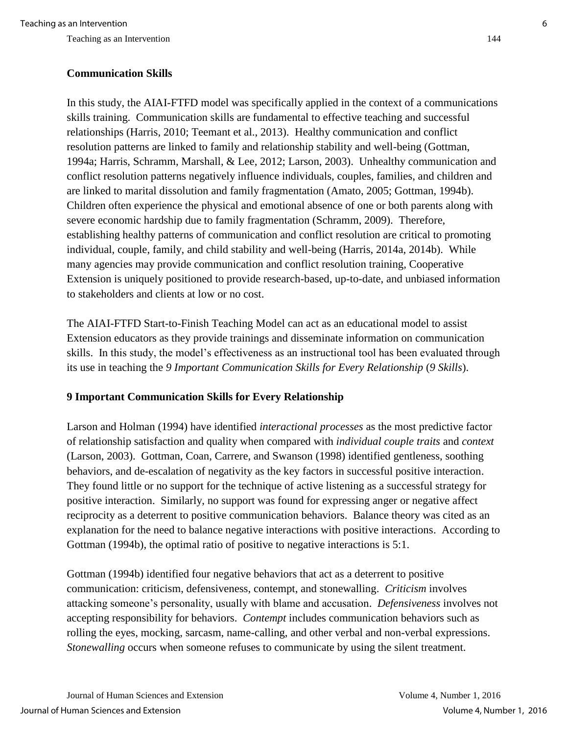## **Communication Skills**

In this study, the AIAI-FTFD model was specifically applied in the context of a communications skills training. Communication skills are fundamental to effective teaching and successful relationships (Harris, 2010; Teemant et al., 2013). Healthy communication and conflict resolution patterns are linked to family and relationship stability and well-being (Gottman, 1994a; Harris, Schramm, Marshall, & Lee, 2012; Larson, 2003). Unhealthy communication and conflict resolution patterns negatively influence individuals, couples, families, and children and are linked to marital dissolution and family fragmentation (Amato, 2005; Gottman, 1994b). Children often experience the physical and emotional absence of one or both parents along with severe economic hardship due to family fragmentation (Schramm, 2009). Therefore, establishing healthy patterns of communication and conflict resolution are critical to promoting individual, couple, family, and child stability and well-being (Harris, 2014a, 2014b). While many agencies may provide communication and conflict resolution training, Cooperative Extension is uniquely positioned to provide research-based, up-to-date, and unbiased information to stakeholders and clients at low or no cost.

The AIAI-FTFD Start-to-Finish Teaching Model can act as an educational model to assist Extension educators as they provide trainings and disseminate information on communication skills. In this study, the model's effectiveness as an instructional tool has been evaluated through its use in teaching the 9 Important Communication Skills for Every Relationship (9 Skills).

## **9 Important Communication Skills for Every Relationship**

Larson and Holman (1994) have identified *interactional processes* as the most predictive factor of relationship satisfaction and quality when compared with *individual couple traits* and *context* (Larson, 2003). Gottman, Coan, Carrere, and Swanson (1998) identified gentleness, soothing behaviors, and de-escalation of negativity as the key factors in successful positive interaction. They found little or no support for the technique of active listening as a successful strategy for positive interaction. Similarly, no support was found for expressing anger or negative affect reciprocity as a deterrent to positive communication behaviors. Balance theory was cited as an explanation for the need to balance negative interactions with positive interactions. According to Gottman (1994b), the optimal ratio of positive to negative interactions is 5:1.

Gottman (1994b) identified four negative behaviors that act as a deterrent to positive communication: criticism, defensiveness, contempt, and stonewalling. *Criticism* involves attacking someone's personality, usually with blame and accusation. *Defensiveness* involves not accepting responsibility for behaviors. *Contempt* includes communication behaviors such as rolling the eyes, mocking, sarcasm, name-calling, and other verbal and non-verbal expressions. *Stonewalling* occurs when someone refuses to communicate by using the silent treatment.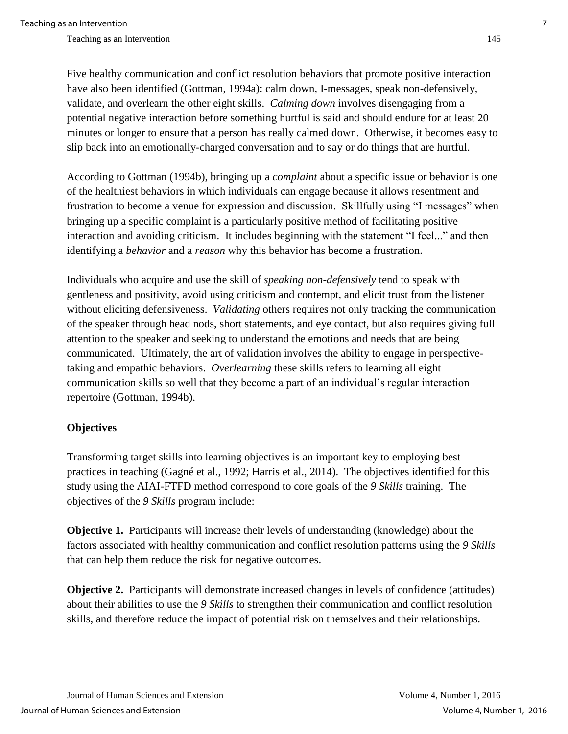Five healthy communication and conflict resolution behaviors that promote positive interaction have also been identified (Gottman, 1994a): calm down, I-messages, speak non-defensively, validate, and overlearn the other eight skills. *Calming down* involves disengaging from a potential negative interaction before something hurtful is said and should endure for at least 20 minutes or longer to ensure that a person has really calmed down. Otherwise, it becomes easy to slip back into an emotionally-charged conversation and to say or do things that are hurtful.

According to Gottman (1994b), bringing up a *complaint* about a specific issue or behavior is one of the healthiest behaviors in which individuals can engage because it allows resentment and frustration to become a venue for expression and discussion. Skillfully using "I messages" when bringing up a specific complaint is a particularly positive method of facilitating positive interaction and avoiding criticism. It includes beginning with the statement "I feel..." and then identifying a *behavior* and a *reason* why this behavior has become a frustration.

Individuals who acquire and use the skill of *speaking non-defensively* tend to speak with gentleness and positivity, avoid using criticism and contempt, and elicit trust from the listener without eliciting defensiveness. *Validating* others requires not only tracking the communication of the speaker through head nods, short statements, and eye contact, but also requires giving full attention to the speaker and seeking to understand the emotions and needs that are being communicated. Ultimately, the art of validation involves the ability to engage in perspectivetaking and empathic behaviors. *Overlearning* these skills refers to learning all eight communication skills so well that they become a part of an individual's regular interaction repertoire (Gottman, 1994b).

## **Objectives**

Transforming target skills into learning objectives is an important key to employing best practices in teaching (Gagné et al., 1992; Harris et al., 2014). The objectives identified for this study using the AIAI-FTFD method correspond to core goals of the *9 Skills* training. The objectives of the *9 Skills* program include:

**Objective 1.** Participants will increase their levels of understanding (knowledge) about the factors associated with healthy communication and conflict resolution patterns using the *9 Skills* that can help them reduce the risk for negative outcomes.

**Objective 2.** Participants will demonstrate increased changes in levels of confidence (attitudes) about their abilities to use the *9 Skills* to strengthen their communication and conflict resolution skills, and therefore reduce the impact of potential risk on themselves and their relationships.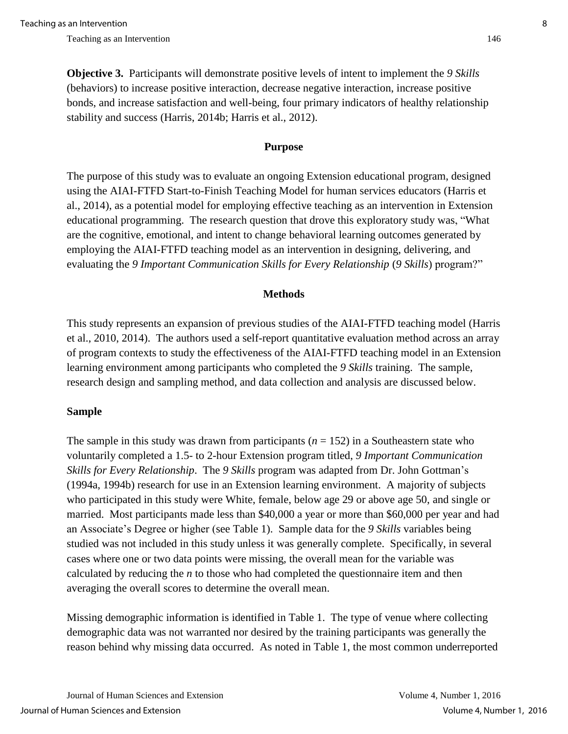**Objective 3.** Participants will demonstrate positive levels of intent to implement the *9 Skills* (behaviors) to increase positive interaction, decrease negative interaction, increase positive bonds, and increase satisfaction and well-being, four primary indicators of healthy relationship stability and success (Harris, 2014b; Harris et al., 2012).

#### **Purpose**

The purpose of this study was to evaluate an ongoing Extension educational program, designed using the AIAI-FTFD Start-to-Finish Teaching Model for human services educators (Harris et al., 2014), as a potential model for employing effective teaching as an intervention in Extension educational programming. The research question that drove this exploratory study was, "What are the cognitive, emotional, and intent to change behavioral learning outcomes generated by employing the AIAI-FTFD teaching model as an intervention in designing, delivering, and evaluating the *9 Important Communication Skills for Every Relationship* (*9 Skills*) program?"

#### **Methods**

This study represents an expansion of previous studies of the AIAI-FTFD teaching model (Harris et al., 2010, 2014). The authors used a self-report quantitative evaluation method across an array of program contexts to study the effectiveness of the AIAI-FTFD teaching model in an Extension learning environment among participants who completed the *9 Skills* training. The sample, research design and sampling method, and data collection and analysis are discussed below.

#### **Sample**

The sample in this study was drawn from participants  $(n = 152)$  in a Southeastern state who voluntarily completed a 1.5- to 2-hour Extension program titled, *9 Important Communication Skills for Every Relationship*. The *9 Skills* program was adapted from Dr. John Gottman's (1994a, 1994b) research for use in an Extension learning environment. A majority of subjects who participated in this study were White, female, below age 29 or above age 50, and single or married. Most participants made less than \$40,000 a year or more than \$60,000 per year and had an Associate's Degree or higher (see Table 1). Sample data for the *9 Skills* variables being studied was not included in this study unless it was generally complete. Specifically, in several cases where one or two data points were missing, the overall mean for the variable was calculated by reducing the *n* to those who had completed the questionnaire item and then averaging the overall scores to determine the overall mean.

Missing demographic information is identified in Table 1. The type of venue where collecting demographic data was not warranted nor desired by the training participants was generally the reason behind why missing data occurred. As noted in Table 1, the most common underreported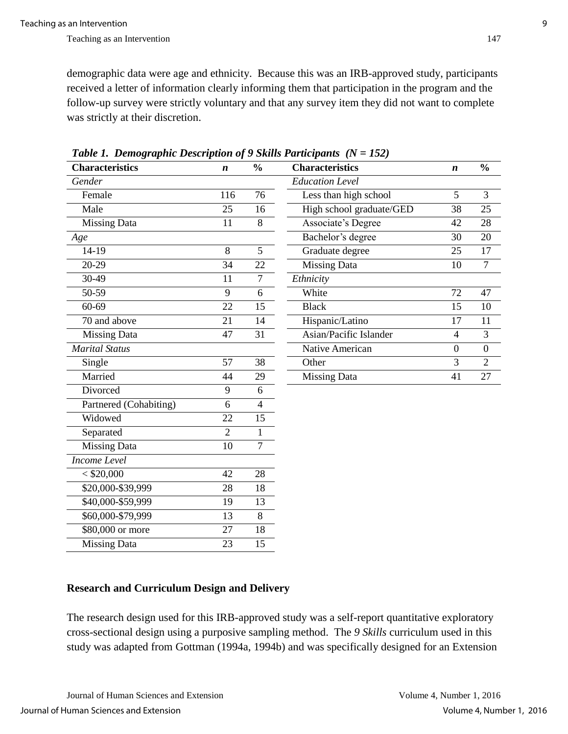demographic data were age and ethnicity. Because this was an IRB-approved study, participants received a letter of information clearly informing them that participation in the program and the follow-up survey were strictly voluntary and that any survey item they did not want to complete was strictly at their discretion.

| <b>Characteristics</b> | $\boldsymbol{n}$ | $\frac{0}{0}$<br><b>Characteristics</b> |                           | $\boldsymbol{n}$ | $\frac{0}{0}$    |
|------------------------|------------------|-----------------------------------------|---------------------------|------------------|------------------|
| Gender                 |                  |                                         | <b>Education Level</b>    |                  |                  |
| Female                 | 116              | 76                                      | Less than high school     | 5                | 3                |
| Male                   | 25               | 16                                      | High school graduate/GED  | 38               | 25               |
| <b>Missing Data</b>    | 11               | $8\,$                                   | <b>Associate's Degree</b> | 42               | 28               |
| Age                    |                  |                                         | Bachelor's degree         | 30               | 20               |
| 14-19                  | 8                | $\overline{5}$                          | Graduate degree           | 25               | 17               |
| 20-29                  | 34               | 22                                      | <b>Missing Data</b>       | 10               | $\overline{7}$   |
| $30 - 49$              | 11               | $\overline{7}$                          | Ethnicity                 |                  |                  |
| 50-59                  | 9                | 6                                       | White                     | 72               | 47               |
| 60-69                  | 22               | 15                                      | <b>Black</b>              | 15               | 10               |
| 70 and above           | 21               | 14                                      | Hispanic/Latino           | 17               | 11               |
| <b>Missing Data</b>    | 47               | 31                                      | Asian/Pacific Islander    | $\overline{4}$   | 3                |
| <b>Marital Status</b>  |                  |                                         | Native American           | $\boldsymbol{0}$ | $\boldsymbol{0}$ |
| Single                 | 57               | 38                                      | Other                     | 3                | $\overline{2}$   |
| Married                | 44               | 29                                      | <b>Missing Data</b>       | 41               | 27               |
| Divorced               | 9                | 6                                       |                           |                  |                  |
| Partnered (Cohabiting) | 6                | $\overline{4}$                          |                           |                  |                  |
| Widowed                | 22               | 15                                      |                           |                  |                  |
| Separated              | $\overline{2}$   | $\mathbf{1}$                            |                           |                  |                  |
| <b>Missing Data</b>    | 10               | 7                                       |                           |                  |                  |
| Income Level           |                  |                                         |                           |                  |                  |
| < \$20,000             | 42               | 28                                      |                           |                  |                  |
| \$20,000-\$39,999      | 28               | 18                                      |                           |                  |                  |
| \$40,000-\$59,999      | 19               | 13                                      |                           |                  |                  |
| \$60,000-\$79,999      | 13               | 8                                       |                           |                  |                  |
| \$80,000 or more       | 27               | 18                                      |                           |                  |                  |
| <b>Missing Data</b>    | 23               | 15                                      |                           |                  |                  |

*Table 1. Demographic Description of 9 Skills Participants (N = 152)*

# **Research and Curriculum Design and Delivery**

The research design used for this IRB-approved study was a self-report quantitative exploratory cross-sectional design using a purposive sampling method. The *9 Skills* curriculum used in this study was adapted from Gottman (1994a, 1994b) and was specifically designed for an Extension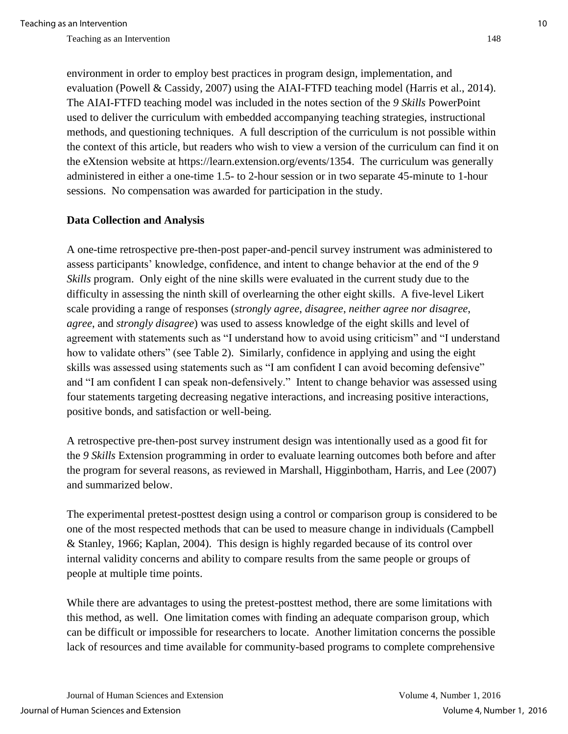environment in order to employ best practices in program design, implementation, and evaluation (Powell & Cassidy, 2007) using the AIAI-FTFD teaching model (Harris et al., 2014). The AIAI-FTFD teaching model was included in the notes section of the *9 Skills* PowerPoint used to deliver the curriculum with embedded accompanying teaching strategies, instructional methods, and questioning techniques. A full description of the curriculum is not possible within the context of this article, but readers who wish to view a version of the curriculum can find it on the eXtension website at https://learn.extension.org/events/1354. The curriculum was generally administered in either a one-time 1.5- to 2-hour session or in two separate 45-minute to 1-hour sessions. No compensation was awarded for participation in the study.

## **Data Collection and Analysis**

A one-time retrospective pre-then-post paper-and-pencil survey instrument was administered to assess participants' knowledge, confidence, and intent to change behavior at the end of the *9 Skills* program. Only eight of the nine skills were evaluated in the current study due to the difficulty in assessing the ninth skill of overlearning the other eight skills. A five-level Likert scale providing a range of responses (*strongly agree*, *disagree*, *neither agree nor disagree*, *agree*, and *strongly disagree*) was used to assess knowledge of the eight skills and level of agreement with statements such as "I understand how to avoid using criticism" and "I understand how to validate others" (see Table 2). Similarly, confidence in applying and using the eight skills was assessed using statements such as "I am confident I can avoid becoming defensive" and "I am confident I can speak non-defensively." Intent to change behavior was assessed using four statements targeting decreasing negative interactions, and increasing positive interactions, positive bonds, and satisfaction or well-being.

A retrospective pre-then-post survey instrument design was intentionally used as a good fit for the *9 Skills* Extension programming in order to evaluate learning outcomes both before and after the program for several reasons, as reviewed in Marshall, Higginbotham, Harris, and Lee (2007) and summarized below.

The experimental pretest-posttest design using a control or comparison group is considered to be one of the most respected methods that can be used to measure change in individuals (Campbell & Stanley, 1966; Kaplan, 2004). This design is highly regarded because of its control over internal validity concerns and ability to compare results from the same people or groups of people at multiple time points.

While there are advantages to using the pretest-posttest method, there are some limitations with this method, as well. One limitation comes with finding an adequate comparison group, which can be difficult or impossible for researchers to locate. Another limitation concerns the possible lack of resources and time available for community-based programs to complete comprehensive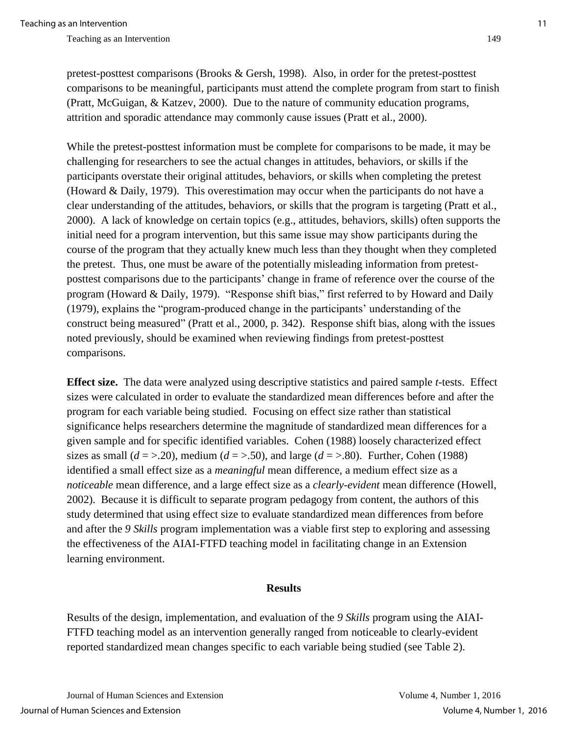pretest-posttest comparisons (Brooks & Gersh, 1998). Also, in order for the pretest-posttest comparisons to be meaningful, participants must attend the complete program from start to finish (Pratt, McGuigan, & Katzev, 2000). Due to the nature of community education programs, attrition and sporadic attendance may commonly cause issues (Pratt et al., 2000).

While the pretest-posttest information must be complete for comparisons to be made, it may be challenging for researchers to see the actual changes in attitudes, behaviors, or skills if the participants overstate their original attitudes, behaviors, or skills when completing the pretest (Howard & Daily, 1979). This overestimation may occur when the participants do not have a clear understanding of the attitudes, behaviors, or skills that the program is targeting (Pratt et al., 2000). A lack of knowledge on certain topics (e.g., attitudes, behaviors, skills) often supports the initial need for a program intervention, but this same issue may show participants during the course of the program that they actually knew much less than they thought when they completed the pretest. Thus, one must be aware of the potentially misleading information from pretestposttest comparisons due to the participants' change in frame of reference over the course of the program (Howard & Daily, 1979). "Response shift bias," first referred to by Howard and Daily (1979), explains the "program-produced change in the participants' understanding of the construct being measured" (Pratt et al., 2000, p. 342). Response shift bias, along with the issues noted previously, should be examined when reviewing findings from pretest-posttest comparisons.

**Effect size.** The data were analyzed using descriptive statistics and paired sample *t*-tests. Effect sizes were calculated in order to evaluate the standardized mean differences before and after the program for each variable being studied. Focusing on effect size rather than statistical significance helps researchers determine the magnitude of standardized mean differences for a given sample and for specific identified variables. Cohen (1988) loosely characterized effect sizes as small  $(d = > 0.20)$ , medium  $(d = > 0.50)$ , and large  $(d = > 0.80)$ . Further, Cohen (1988) identified a small effect size as a *meaningful* mean difference, a medium effect size as a *noticeable* mean difference, and a large effect size as a *clearly-evident* mean difference (Howell, 2002). Because it is difficult to separate program pedagogy from content, the authors of this study determined that using effect size to evaluate standardized mean differences from before and after the *9 Skills* program implementation was a viable first step to exploring and assessing the effectiveness of the AIAI-FTFD teaching model in facilitating change in an Extension learning environment.

#### **Results**

Results of the design, implementation, and evaluation of the *9 Skills* program using the AIAI-FTFD teaching model as an intervention generally ranged from noticeable to clearly-evident reported standardized mean changes specific to each variable being studied (see Table 2).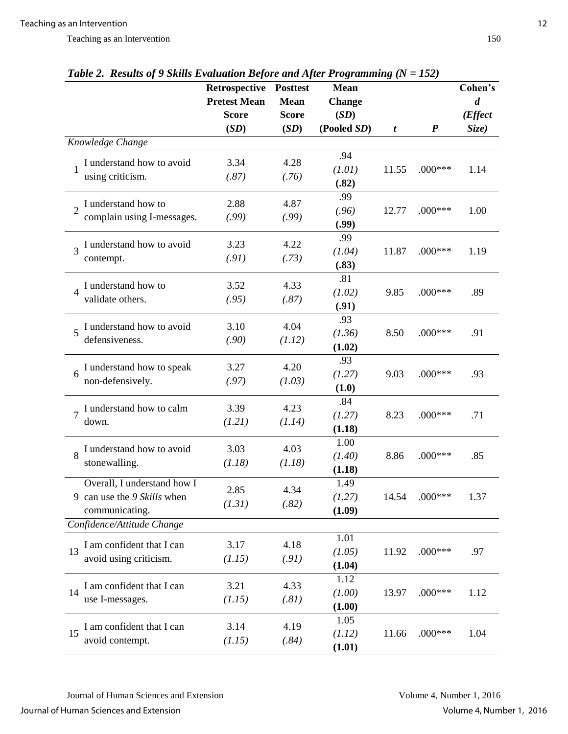|                                                    | Retrospective Posttest<br><b>Pretest Mean</b> | <b>Mean</b>          | <b>Mean</b><br><b>Change</b> |       |                  | Cohen's<br>$\boldsymbol{d}$ |
|----------------------------------------------------|-----------------------------------------------|----------------------|------------------------------|-------|------------------|-----------------------------|
|                                                    | <b>Score</b><br>(SD)                          | <b>Score</b><br>(SD) | (SD)<br>(Pooled SD)          |       | $\boldsymbol{P}$ | ( <i>Effect</i><br>Size)    |
| Knowledge Change                                   |                                               |                      |                              | t     |                  |                             |
|                                                    |                                               |                      | .94                          |       |                  |                             |
| I understand how to avoid<br>1                     | 3.34                                          | 4.28                 | (1.01)                       | 11.55 | $.000***$        | 1.14                        |
| using criticism.                                   | (.87)                                         | (.76)                | (.82)                        |       |                  |                             |
| I understand how to                                | 2.88                                          | 4.87                 | .99                          |       |                  |                             |
| complain using I-messages.                         | (.99)                                         | (.99)                | (.96)                        | 12.77 | $.000***$        | 1.00                        |
|                                                    |                                               |                      | (.99)<br>.99                 |       |                  |                             |
| I understand how to avoid<br>$\overline{3}$        | 3.23                                          | 4.22                 | (1.04)                       | 11.87 | $.000***$        | 1.19                        |
| contempt.                                          | (.91)                                         | (.73)                | (.83)                        |       |                  |                             |
|                                                    |                                               |                      | .81                          |       |                  |                             |
| I understand how to<br>$\overline{4}$              | 3.52                                          | 4.33                 | (1.02)                       | 9.85  | $.000***$        | .89                         |
| validate others.                                   | (.95)                                         | (.87)                | (.91)                        |       |                  |                             |
| I understand how to avoid                          | 3.10                                          | 4.04                 | .93                          |       |                  |                             |
| $\overline{5}$<br>defensiveness.                   | (.90)                                         | (1.12)               | (1.36)                       | 8.50  | $.000***$        | .91                         |
|                                                    |                                               |                      | (1.02)                       |       |                  |                             |
| I understand how to speak                          | 3.27                                          | 4.20                 | .93                          |       |                  |                             |
| 6<br>non-defensively.                              | (.97)                                         | (1.03)               | (1.27)<br>(1.0)              | 9.03  | $.000***$        | .93                         |
|                                                    |                                               |                      | .84                          |       |                  |                             |
| I understand how to calm<br>$\overline{7}$         | 3.39                                          | 4.23                 | (1.27)                       | 8.23  | $.000***$        | .71                         |
| down.                                              | (1.21)                                        | (1.14)               | (1.18)                       |       |                  |                             |
| I understand how to avoid                          | 3.03                                          | 4.03                 | 1.00                         |       |                  |                             |
| 8<br>stonewalling.                                 | (1.18)                                        | (1.18)               | (1.40)                       | 8.86  | $.000***$        | .85                         |
|                                                    |                                               |                      | (1.18)                       |       |                  |                             |
| Overall, I understand how I                        | 2.85                                          | 4.34                 | 1.49                         |       |                  |                             |
| 9 can use the 9 Skills when                        | (1.31)                                        | (.82)                | (1.27)                       | 14.54 | $.000***$        | 1.37                        |
| communicating.                                     |                                               |                      | (1.09)                       |       |                  |                             |
| Confidence/Attitude Change                         |                                               |                      | 1.01                         |       |                  |                             |
| I am confident that I can<br>13                    | 3.17                                          | 4.18                 | (1.05)                       | 11.92 | $.000***$        | .97                         |
| avoid using criticism.                             | (1.15)                                        | (.91)                | (1.04)                       |       |                  |                             |
|                                                    |                                               |                      | 1.12                         |       |                  |                             |
| I am confident that I can<br>14                    | 3.21                                          | 4.33                 | (1.00)                       | 13.97 | $.000***$        | 1.12                        |
| use I-messages.                                    | (1.15)                                        | (.81)                | (1.00)                       |       |                  |                             |
|                                                    | 3.14                                          | 4.19                 | 1.05                         |       |                  |                             |
| I am confident that I can<br>15<br>avoid contempt. | (1.15)                                        | (.84)                | (1.12)                       | 11.66 | $.000***$        | 1.04                        |
|                                                    |                                               |                      | (1.01)                       |       |                  |                             |

*Table 2. Results of 9 Skills Evaluation Before and After Programming (N = 152)*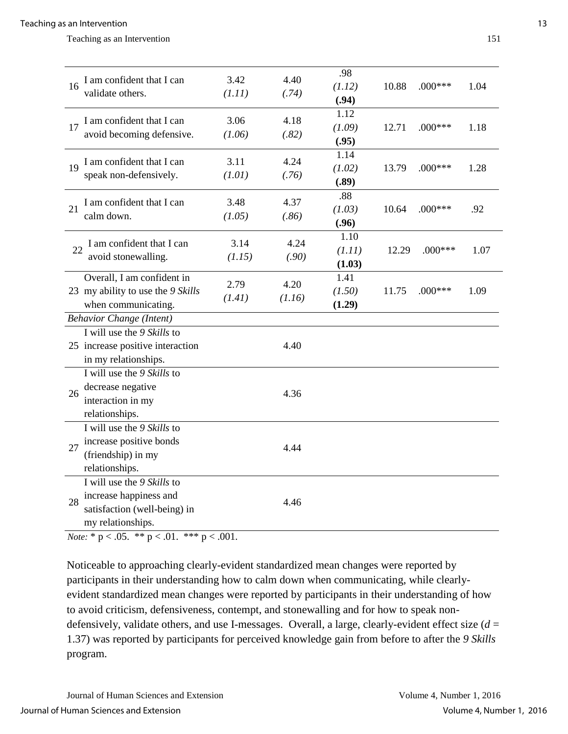| 16 | I am confident that I can<br>validate others.                                                                           | 3.42<br>(1.11) | 4.40<br>(.74)  | .98<br>(1.12)<br>(.94)   | 10.88 | $.000***$ | 1.04 |
|----|-------------------------------------------------------------------------------------------------------------------------|----------------|----------------|--------------------------|-------|-----------|------|
| 17 | I am confident that I can<br>avoid becoming defensive.                                                                  | 3.06<br>(1.06) | 4.18<br>(.82)  | 1.12<br>(1.09)<br>(.95)  | 12.71 | $.000***$ | 1.18 |
| 19 | I am confident that I can<br>speak non-defensively.                                                                     | 3.11<br>(1.01) | 4.24<br>(.76)  | 1.14<br>(1.02)<br>(.89)  | 13.79 | $.000***$ | 1.28 |
| 21 | I am confident that I can<br>calm down.                                                                                 | 3.48<br>(1.05) | 4.37<br>(.86)  | .88<br>(1.03)<br>(.96)   | 10.64 | $.000***$ | .92  |
| 22 | I am confident that I can<br>avoid stonewalling.                                                                        | 3.14<br>(1.15) | 4.24<br>(.90)  | 1.10<br>(1.11)<br>(1.03) | 12.29 | $.000***$ | 1.07 |
|    | Overall, I am confident in<br>23 my ability to use the 9 Skills<br>when communicating.                                  | 2.79<br>(1.41) | 4.20<br>(1.16) | 1.41<br>(1.50)<br>(1.29) | 11.75 | $.000***$ | 1.09 |
|    | <b>Behavior Change (Intent)</b>                                                                                         |                |                |                          |       |           |      |
|    | I will use the 9 Skills to<br>25 increase positive interaction<br>in my relationships.                                  |                | 4.40           |                          |       |           |      |
| 26 | I will use the 9 Skills to<br>decrease negative<br>interaction in my<br>relationships.                                  |                | 4.36           |                          |       |           |      |
| 27 | I will use the 9 Skills to<br>increase positive bonds<br>(friendship) in my<br>relationships.                           |                | 4.44           |                          |       |           |      |
| 28 | I will use the 9 Skills to<br>increase happiness and<br>satisfaction (well-being) in<br>my relationships.<br>$\sim$ $-$ |                | 4.46           |                          |       |           |      |

*Note:*  $* p < .05$ .  $** p < .01$ .  $*** p < .001$ .

Noticeable to approaching clearly-evident standardized mean changes were reported by participants in their understanding how to calm down when communicating, while clearlyevident standardized mean changes were reported by participants in their understanding of how to avoid criticism, defensiveness, contempt, and stonewalling and for how to speak nondefensively, validate others, and use I-messages. Overall, a large, clearly-evident effect size (*d* = 1.37) was reported by participants for perceived knowledge gain from before to after the *9 Skills* program.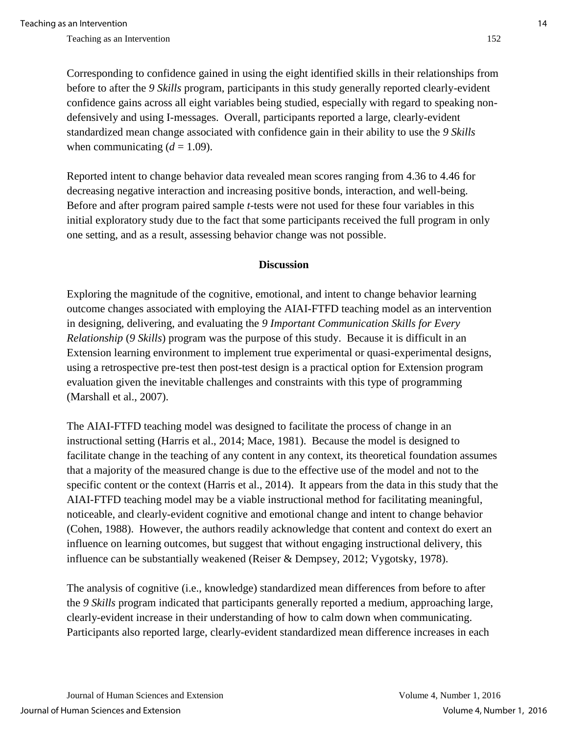Corresponding to confidence gained in using the eight identified skills in their relationships from before to after the *9 Skills* program, participants in this study generally reported clearly-evident confidence gains across all eight variables being studied, especially with regard to speaking nondefensively and using I-messages. Overall, participants reported a large, clearly-evident standardized mean change associated with confidence gain in their ability to use the *9 Skills* when communicating  $(d = 1.09)$ .

Reported intent to change behavior data revealed mean scores ranging from 4.36 to 4.46 for decreasing negative interaction and increasing positive bonds, interaction, and well-being. Before and after program paired sample *t*-tests were not used for these four variables in this initial exploratory study due to the fact that some participants received the full program in only one setting, and as a result, assessing behavior change was not possible.

#### **Discussion**

Exploring the magnitude of the cognitive, emotional, and intent to change behavior learning outcome changes associated with employing the AIAI-FTFD teaching model as an intervention in designing, delivering, and evaluating the *9 Important Communication Skills for Every Relationship* (*9 Skills*) program was the purpose of this study. Because it is difficult in an Extension learning environment to implement true experimental or quasi-experimental designs, using a retrospective pre-test then post-test design is a practical option for Extension program evaluation given the inevitable challenges and constraints with this type of programming (Marshall et al., 2007).

The AIAI-FTFD teaching model was designed to facilitate the process of change in an instructional setting (Harris et al., 2014; Mace, 1981). Because the model is designed to facilitate change in the teaching of any content in any context, its theoretical foundation assumes that a majority of the measured change is due to the effective use of the model and not to the specific content or the context (Harris et al., 2014). It appears from the data in this study that the AIAI-FTFD teaching model may be a viable instructional method for facilitating meaningful, noticeable, and clearly-evident cognitive and emotional change and intent to change behavior (Cohen, 1988). However, the authors readily acknowledge that content and context do exert an influence on learning outcomes, but suggest that without engaging instructional delivery, this influence can be substantially weakened (Reiser & Dempsey, 2012; Vygotsky, 1978).

The analysis of cognitive (i.e., knowledge) standardized mean differences from before to after the *9 Skills* program indicated that participants generally reported a medium, approaching large, clearly-evident increase in their understanding of how to calm down when communicating. Participants also reported large, clearly-evident standardized mean difference increases in each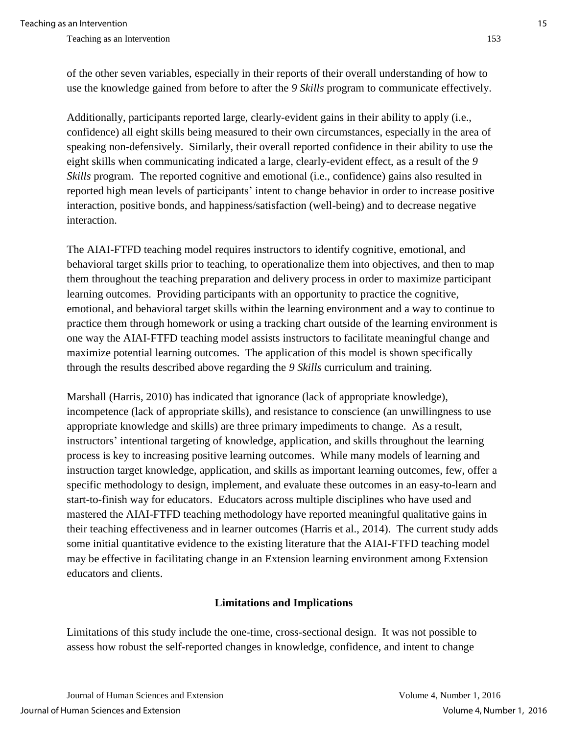of the other seven variables, especially in their reports of their overall understanding of how to use the knowledge gained from before to after the *9 Skills* program to communicate effectively.

Additionally, participants reported large, clearly-evident gains in their ability to apply (i.e., confidence) all eight skills being measured to their own circumstances, especially in the area of speaking non-defensively. Similarly, their overall reported confidence in their ability to use the eight skills when communicating indicated a large, clearly-evident effect, as a result of the *9 Skills* program. The reported cognitive and emotional (i.e., confidence) gains also resulted in reported high mean levels of participants' intent to change behavior in order to increase positive interaction, positive bonds, and happiness/satisfaction (well-being) and to decrease negative interaction.

The AIAI-FTFD teaching model requires instructors to identify cognitive, emotional, and behavioral target skills prior to teaching, to operationalize them into objectives, and then to map them throughout the teaching preparation and delivery process in order to maximize participant learning outcomes. Providing participants with an opportunity to practice the cognitive, emotional, and behavioral target skills within the learning environment and a way to continue to practice them through homework or using a tracking chart outside of the learning environment is one way the AIAI-FTFD teaching model assists instructors to facilitate meaningful change and maximize potential learning outcomes. The application of this model is shown specifically through the results described above regarding the *9 Skills* curriculum and training.

Marshall (Harris, 2010) has indicated that ignorance (lack of appropriate knowledge), incompetence (lack of appropriate skills), and resistance to conscience (an unwillingness to use appropriate knowledge and skills) are three primary impediments to change. As a result, instructors' intentional targeting of knowledge, application, and skills throughout the learning process is key to increasing positive learning outcomes. While many models of learning and instruction target knowledge, application, and skills as important learning outcomes, few, offer a specific methodology to design, implement, and evaluate these outcomes in an easy-to-learn and start-to-finish way for educators. Educators across multiple disciplines who have used and mastered the AIAI-FTFD teaching methodology have reported meaningful qualitative gains in their teaching effectiveness and in learner outcomes (Harris et al., 2014). The current study adds some initial quantitative evidence to the existing literature that the AIAI-FTFD teaching model may be effective in facilitating change in an Extension learning environment among Extension educators and clients.

## **Limitations and Implications**

Limitations of this study include the one-time, cross-sectional design. It was not possible to assess how robust the self-reported changes in knowledge, confidence, and intent to change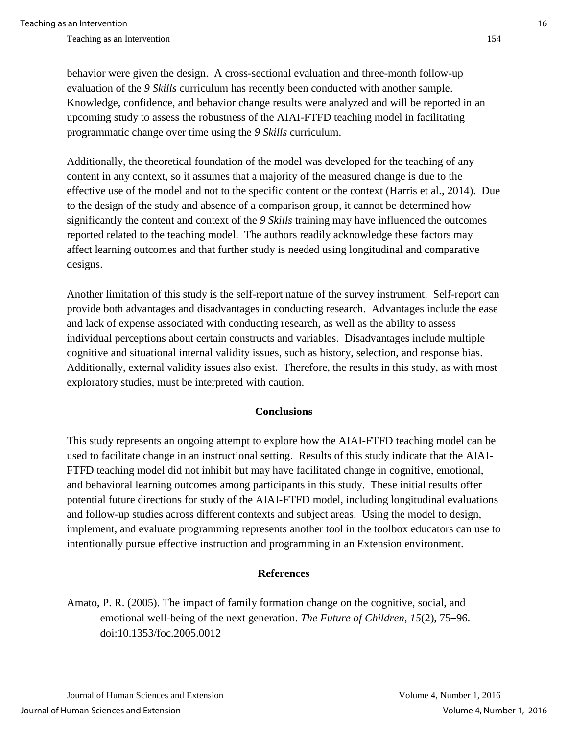behavior were given the design. A cross-sectional evaluation and three-month follow-up evaluation of the *9 Skills* curriculum has recently been conducted with another sample. Knowledge, confidence, and behavior change results were analyzed and will be reported in an upcoming study to assess the robustness of the AIAI-FTFD teaching model in facilitating programmatic change over time using the *9 Skills* curriculum.

Additionally, the theoretical foundation of the model was developed for the teaching of any content in any context, so it assumes that a majority of the measured change is due to the effective use of the model and not to the specific content or the context (Harris et al., 2014). Due to the design of the study and absence of a comparison group, it cannot be determined how significantly the content and context of the *9 Skills* training may have influenced the outcomes reported related to the teaching model. The authors readily acknowledge these factors may affect learning outcomes and that further study is needed using longitudinal and comparative designs.

Another limitation of this study is the self-report nature of the survey instrument. Self-report can provide both advantages and disadvantages in conducting research. Advantages include the ease and lack of expense associated with conducting research, as well as the ability to assess individual perceptions about certain constructs and variables. Disadvantages include multiple cognitive and situational internal validity issues, such as history, selection, and response bias. Additionally, external validity issues also exist. Therefore, the results in this study, as with most exploratory studies, must be interpreted with caution.

#### **Conclusions**

This study represents an ongoing attempt to explore how the AIAI-FTFD teaching model can be used to facilitate change in an instructional setting. Results of this study indicate that the AIAI-FTFD teaching model did not inhibit but may have facilitated change in cognitive, emotional, and behavioral learning outcomes among participants in this study. These initial results offer potential future directions for study of the AIAI-FTFD model, including longitudinal evaluations and follow-up studies across different contexts and subject areas. Using the model to design, implement, and evaluate programming represents another tool in the toolbox educators can use to intentionally pursue effective instruction and programming in an Extension environment.

#### **References**

Amato, P. R. (2005). The impact of family formation change on the cognitive, social, and emotional well-being of the next generation. *The Future of Children*, *15*(2), 75–96. doi:10.1353/foc.2005.0012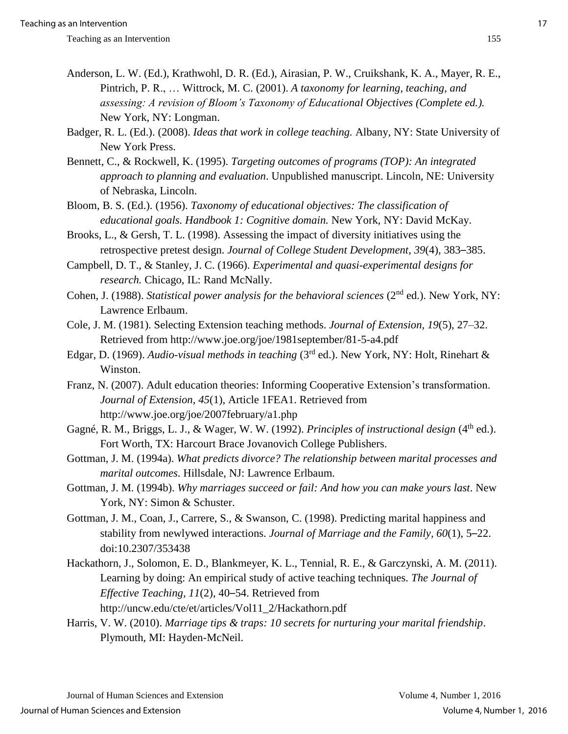- Anderson, L. W. (Ed.), Krathwohl, D. R. (Ed.), Airasian, P. W., Cruikshank, K. A., Mayer, R. E., Pintrich, P. R., … Wittrock, M. C. (2001). *A taxonomy for learning, teaching, and assessing: A revision of Bloom's Taxonomy of Educational Objectives (Complete ed.).* New York, NY: Longman.
- Badger, R. L. (Ed.). (2008). *Ideas that work in college teaching.* Albany, NY: State University of New York Press.
- Bennett, C., & Rockwell, K. (1995). *Targeting outcomes of programs (TOP): An integrated approach to planning and evaluation*. Unpublished manuscript. Lincoln, NE: University of Nebraska, Lincoln.
- Bloom, B. S. (Ed.). (1956). *Taxonomy of educational objectives: The classification of educational goals. Handbook 1: Cognitive domain.* New York, NY: David McKay.
- Brooks, L., & Gersh, T. L. (1998). Assessing the impact of diversity initiatives using the retrospective pretest design. *Journal of College Student Development*, *39*(4), 383–385.
- Campbell, D. T., & Stanley, J. C. (1966). *Experimental and quasi-experimental designs for research.* Chicago, IL: Rand McNally.
- Cohen, J. (1988). *Statistical power analysis for the behavioral sciences* (2<sup>nd</sup> ed.). New York, NY: Lawrence Erlbaum.
- Cole, J. M. (1981). Selecting Extension teaching methods. *Journal of Extension, 19*(5), 27–32. Retrieved from http://www.joe.org/joe/1981september/81-5-a4.pdf
- Edgar, D. (1969). *Audio-visual methods in teaching* (3rd ed.). New York, NY: Holt, Rinehart & Winston.
- Franz, N. (2007). Adult education theories: Informing Cooperative Extension's transformation. *Journal of Extension*, *45*(1), Article 1FEA1. Retrieved from http://www.joe.org/joe/2007february/a1.php
- Gagné, R. M., Briggs, L. J., & Wager, W. W. (1992). *Principles of instructional design* (4<sup>th</sup> ed.). Fort Worth, TX: Harcourt Brace Jovanovich College Publishers.
- Gottman, J. M. (1994a). *What predicts divorce? The relationship between marital processes and marital outcomes*. Hillsdale, NJ: Lawrence Erlbaum.
- Gottman, J. M. (1994b). *Why marriages succeed or fail: And how you can make yours last*. New York, NY: Simon & Schuster.
- Gottman, J. M., Coan, J., Carrere, S., & Swanson, C. (1998). Predicting marital happiness and stability from newlywed interactions. *Journal of Marriage and the Family, 60*(1), 5–22. doi:10.2307/353438
- Hackathorn, J., Solomon, E. D., Blankmeyer, K. L., Tennial, R. E., & Garczynski, A. M. (2011). Learning by doing: An empirical study of active teaching techniques. *The Journal of Effective Teaching, 11*(2), 40–54. Retrieved from http://uncw.edu/cte/et/articles/Vol11\_2/Hackathorn.pdf
- Harris, V. W. (2010). *Marriage tips & traps: 10 secrets for nurturing your marital friendship*. Plymouth, MI: Hayden-McNeil.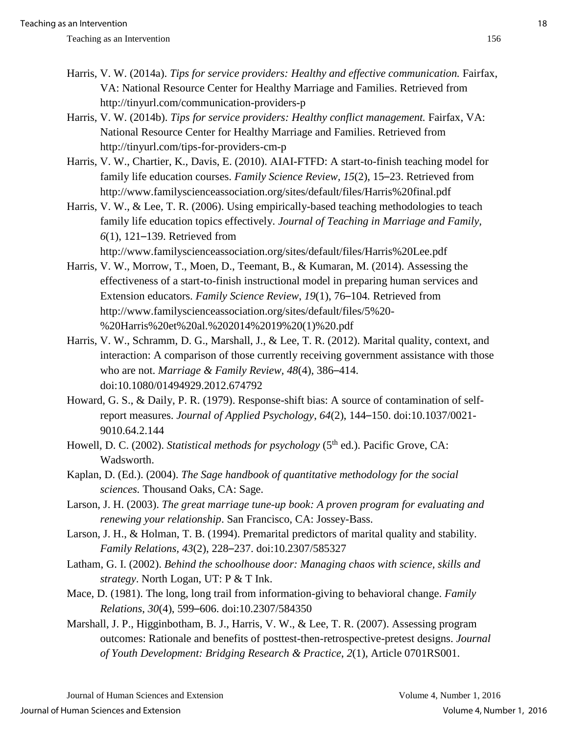- Harris, V. W. (2014a). *Tips for service providers: Healthy and effective communication*. Fairfax, VA: National Resource Center for Healthy Marriage and Families. Retrieved from http://tinyurl.com/communication-providers-p
- Harris, V. W. (2014b). *Tips for service providers: Healthy conflict management*. Fairfax, VA: National Resource Center for Healthy Marriage and Families. Retrieved from http://tinyurl.com/tips-for-providers-cm-p
- Harris, V. W., Chartier, K., Davis, E. (2010). AIAI-FTFD: A start-to-finish teaching model for family life education courses. *Family Science Review, 15*(2), 15–23. Retrieved from http://www.familyscienceassociation.org/sites/default/files/Harris%20final.pdf
- Harris, V. W., & Lee, T. R. (2006). Using empirically-based teaching methodologies to teach family life education topics effectively. *Journal of Teaching in Marriage and Family, 6*(1), 121–139. Retrieved from

http://www.familyscienceassociation.org/sites/default/files/Harris%20Lee.pdf

- Harris, V. W., Morrow, T., Moen, D., Teemant, B., & Kumaran, M. (2014). Assessing the effectiveness of a start-to-finish instructional model in preparing human services and Extension educators. *Family Science Review*, *19*(1), 76–104*.* Retrieved from http://www.familyscienceassociation.org/sites/default/files/5%20- %20Harris%20et%20al.%202014%2019%20(1)%20.pdf
- Harris, V. W., Schramm, D. G., Marshall, J., & Lee, T. R. (2012). Marital quality, context, and interaction: A comparison of those currently receiving government assistance with those who are not. *Marriage & Family Review, 48*(4), 386–414. doi:10.1080/01494929.2012.674792
- Howard, G. S., & Daily, P. R. (1979). Response-shift bias: A source of contamination of selfreport measures. *Journal of Applied Psychology*, *64*(2), 144–150. doi:10.1037/0021- 9010.64.2.144
- Howell, D. C. (2002). *Statistical methods for psychology* (5<sup>th</sup> ed.). Pacific Grove, CA: Wadsworth.
- Kaplan, D. (Ed.). (2004). *The Sage handbook of quantitative methodology for the social sciences.* Thousand Oaks, CA: Sage.
- Larson, J. H. (2003). *The great marriage tune-up book: A proven program for evaluating and renewing your relationship*. San Francisco, CA: Jossey-Bass.
- Larson, J. H., & Holman, T. B. (1994). Premarital predictors of marital quality and stability. *Family Relations, 43*(2), 228–237. doi:10.2307/585327
- Latham, G. I. (2002). *Behind the schoolhouse door: Managing chaos with science, skills and strategy*. North Logan, UT: P & T Ink.
- Mace, D. (1981). The long, long trail from information-giving to behavioral change. *Family Relations*, *30*(4), 599–606. doi:10.2307/584350
- Marshall, J. P., Higginbotham, B. J., Harris, V. W., & Lee, T. R. (2007). Assessing program outcomes: Rationale and benefits of posttest-then-retrospective-pretest designs. *Journal of Youth Development: Bridging Research & Practice*, *2*(1), Article 0701RS001.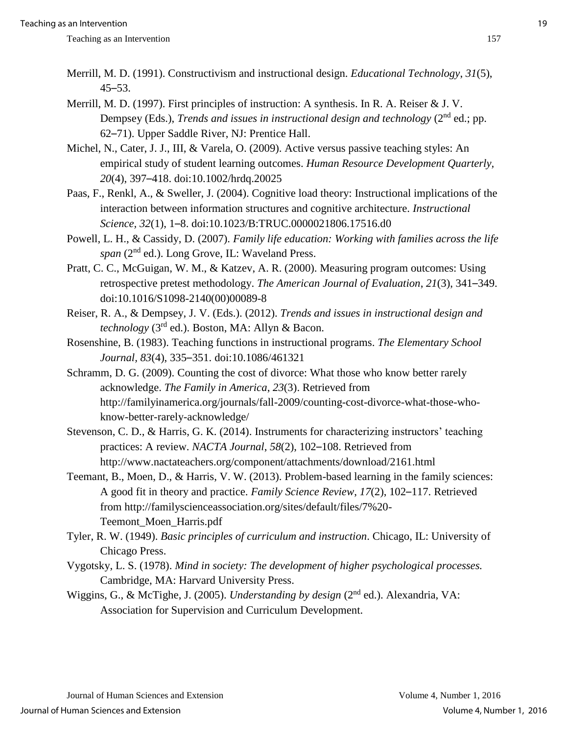- Merrill, M. D. (1991). Constructivism and instructional design. *Educational Technology*, *31*(5),  $45 - 53$ .
- Merrill, M. D. (1997). First principles of instruction: A synthesis. In R. A. Reiser & J. V. Dempsey (Eds.), *Trends and issues in instructional design and technology* (2<sup>nd</sup> ed.; pp. 62–71). Upper Saddle River, NJ: Prentice Hall.
- Michel, N., Cater, J. J., III, & Varela, O. (2009). Active versus passive teaching styles: An empirical study of student learning outcomes. *Human Resource Development Quarterly, 20*(4), 397–418. doi:10.1002/hrdq.20025
- Paas, F., Renkl, A., & Sweller, J. (2004). Cognitive load theory: Instructional implications of the interaction between information structures and cognitive architecture. *Instructional Science, 32*(1), 1–8. doi:10.1023/B:TRUC.0000021806.17516.d0
- Powell, L. H., & Cassidy, D. (2007). *Family life education: Working with families across the life span* (2nd ed.). Long Grove, IL: Waveland Press.
- Pratt, C. C., McGuigan, W. M., & Katzev, A. R. (2000). Measuring program outcomes: Using retrospective pretest methodology. *The American Journal of Evaluation*, *21*(3), 341–349. doi:10.1016/S1098-2140(00)00089-8
- Reiser, R. A., & Dempsey, J. V. (Eds.). (2012). *Trends and issues in instructional design and technology* (3rd ed.). Boston, MA: Allyn & Bacon.
- Rosenshine, B. (1983). Teaching functions in instructional programs. *The Elementary School Journal, 83*(4), 335–351. doi:10.1086/461321
- Schramm, D. G. (2009). Counting the cost of divorce: What those who know better rarely acknowledge. *The Family in America*, *23*(3). Retrieved from http://familyinamerica.org/journals/fall-2009/counting-cost-divorce-what-those-whoknow-better-rarely-acknowledge/
- Stevenson, C. D., & Harris, G. K. (2014). Instruments for characterizing instructors' teaching practices: A review. *NACTA Journal*, *58*(2), 102–108. Retrieved from http://www.nactateachers.org/component/attachments/download/2161.html
- Teemant, B., Moen, D., & Harris, V. W. (2013). Problem-based learning in the family sciences: A good fit in theory and practice. *Family Science Review*, *17*(2), 102–117. Retrieved from http://familyscienceassociation.org/sites/default/files/7%20- Teemont\_Moen\_Harris.pdf
- Tyler, R. W. (1949). *Basic principles of curriculum and instruction*. Chicago, IL: University of Chicago Press.
- Vygotsky, L. S. (1978). *Mind in society: The development of higher psychological processes.*  Cambridge, MA: Harvard University Press.
- Wiggins, G., & McTighe, J. (2005). *Understanding by design* (2<sup>nd</sup> ed.). Alexandria, VA: Association for Supervision and Curriculum Development.